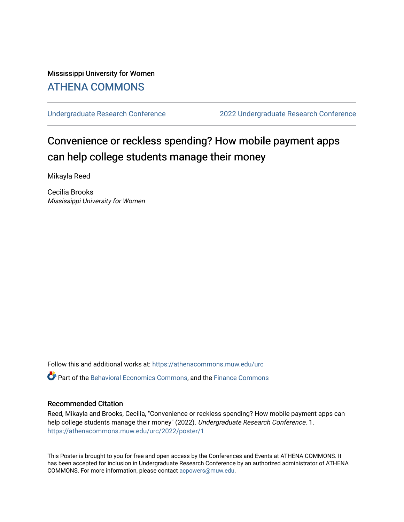#### Mississippi University for Women [ATHENA COMMONS](https://athenacommons.muw.edu/)

[Undergraduate Research Conference](https://athenacommons.muw.edu/urc) [2022 Undergraduate Research Conference](https://athenacommons.muw.edu/urc/2022) 

#### Convenience or reckless spending? How mobile payment apps can help college students manage their money

Mikayla Reed

Cecilia Brooks Mississippi University for Women

Follow this and additional works at: [https://athenacommons.muw.edu/urc](https://athenacommons.muw.edu/urc?utm_source=athenacommons.muw.edu%2Furc%2F2022%2Fposter%2F1&utm_medium=PDF&utm_campaign=PDFCoverPages)  Part of the [Behavioral Economics Commons](http://network.bepress.com/hgg/discipline/341?utm_source=athenacommons.muw.edu%2Furc%2F2022%2Fposter%2F1&utm_medium=PDF&utm_campaign=PDFCoverPages), and the [Finance Commons](http://network.bepress.com/hgg/discipline/345?utm_source=athenacommons.muw.edu%2Furc%2F2022%2Fposter%2F1&utm_medium=PDF&utm_campaign=PDFCoverPages) 

#### Recommended Citation

Reed, Mikayla and Brooks, Cecilia, "Convenience or reckless spending? How mobile payment apps can help college students manage their money" (2022). Undergraduate Research Conference. 1. [https://athenacommons.muw.edu/urc/2022/poster/1](https://athenacommons.muw.edu/urc/2022/poster/1?utm_source=athenacommons.muw.edu%2Furc%2F2022%2Fposter%2F1&utm_medium=PDF&utm_campaign=PDFCoverPages) 

This Poster is brought to you for free and open access by the Conferences and Events at ATHENA COMMONS. It has been accepted for inclusion in Undergraduate Research Conference by an authorized administrator of ATHENA COMMONS. For more information, please contact [acpowers@muw.edu](mailto:acpowers@muw.edu).